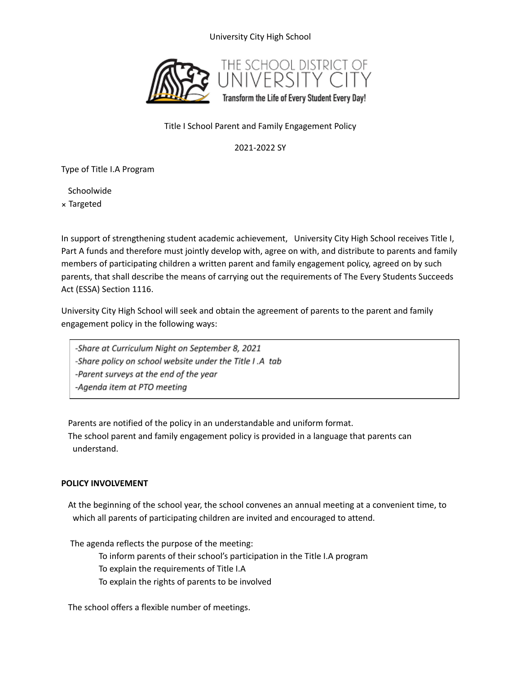# University City High School



### Title I School Parent and Family Engagement Policy

## 2021-2022 SY

Type of Title I.A Program

Schoolwide Targeted

In support of strengthening student academic achievement, University City High School receives Title I, Part A funds and therefore must jointly develop with, agree on with, and distribute to parents and family members of participating children a written parent and family engagement policy, agreed on by such parents, that shall describe the means of carrying out the requirements of The Every Students Succeeds Act (ESSA) Section 1116.

University City High School will seek and obtain the agreement of parents to the parent and family engagement policy in the following ways:

-Share at Curriculum Night on September 8, 2021 -Share policy on school website under the Title I.A tab -Parent surveys at the end of the year -Agenda item at PTO meeting

Parents are notified of the policy in an understandable and uniform format. The school parent and family engagement policy is provided in a language that parents can understand.

#### **POLICY INVOLVEMENT**

At the beginning of the school year, the school convenes an annual meeting at a convenient time, to which all parents of participating children are invited and encouraged to attend.

The agenda reflects the purpose of the meeting:

To inform parents of their school's participation in the Title I.A program

To explain the requirements of Title I.A

To explain the rights of parents to be involved

The school offers a flexible number of meetings.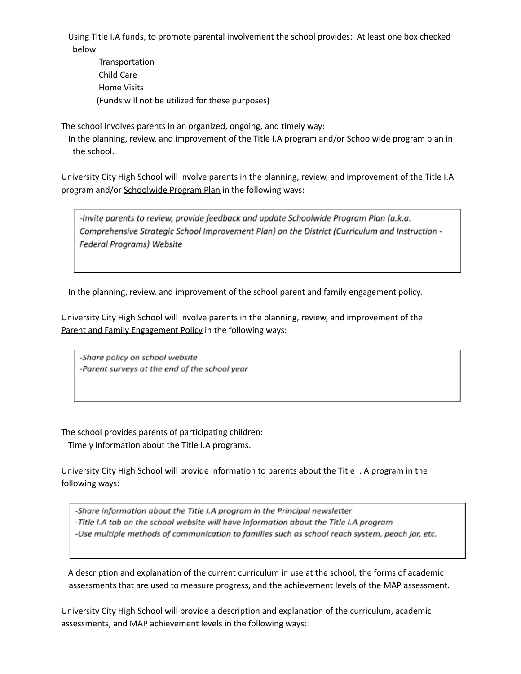Using Title I.A funds, to promote parental involvement the school provides: At least one box checked below

Transportation Child Care Home Visits (Funds will not be utilized for these purposes)

The school involves parents in an organized, ongoing, and timely way:

In the planning, review, and improvement of the Title I.A program and/or Schoolwide program plan in the school.

University City High School will involve parents in the planning, review, and improvement of the Title I.A program and/or Schoolwide Program Plan in the following ways:

-Invite parents to review, provide feedback and update Schoolwide Program Plan (a.k.a. Comprehensive Strategic School Improvement Plan) on the District (Curriculum and Instruction -Federal Programs) Website

In the planning, review, and improvement of the school parent and family engagement policy.

University City High School will involve parents in the planning, review, and improvement of the Parent and Family Engagement Policy in the following ways:

-Share policy on school website -Parent surveys at the end of the school year

The school provides parents of participating children:

Timely information about the Title I.A programs.

University City High School will provide information to parents about the Title I. A program in the following ways:

-Share information about the Title I.A program in the Principal newsletter -Title I.A tab on the school website will have information about the Title I.A program -Use multiple methods of communication to families such as school reach system, peach jar, etc.

A description and explanation of the current curriculum in use at the school, the forms of academic assessments that are used to measure progress, and the achievement levels of the MAP assessment.

University City High School will provide a description and explanation of the curriculum, academic assessments, and MAP achievement levels in the following ways: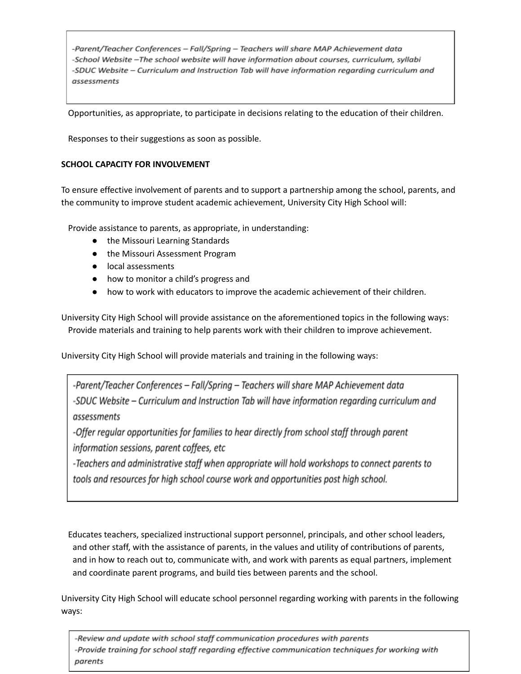-Parent/Teacher Conferences - Fall/Spring - Teachers will share MAP Achievement data -School Website -The school website will have information about courses, curriculum, syllabi -SDUC Website - Curriculum and Instruction Tab will have information regarding curriculum and assessments

Opportunities, as appropriate, to participate in decisions relating to the education of their children.

Responses to their suggestions as soon as possible.

## **SCHOOL CAPACITY FOR INVOLVEMENT**

To ensure effective involvement of parents and to support a partnership among the school, parents, and the community to improve student academic achievement, University City High School will:

Provide assistance to parents, as appropriate, in understanding:

- the Missouri Learning Standards
- the Missouri Assessment Program
- local assessments
- how to monitor a child's progress and
- how to work with educators to improve the academic achievement of their children.

University City High School will provide assistance on the aforementioned topics in the following ways: Provide materials and training to help parents work with their children to improve achievement.

University City High School will provide materials and training in the following ways:

-Parent/Teacher Conferences – Fall/Spring – Teachers will share MAP Achievement data -SDUC Website – Curriculum and Instruction Tab will have information regarding curriculum and assessments

-Offer regular opportunities for families to hear directly from school staff through parent information sessions, parent coffees, etc

-Teachers and administrative staff when appropriate will hold workshops to connect parents to tools and resources for high school course work and opportunities post high school.

Educates teachers, specialized instructional support personnel, principals, and other school leaders, and other staff, with the assistance of parents, in the values and utility of contributions of parents, and in how to reach out to, communicate with, and work with parents as equal partners, implement and coordinate parent programs, and build ties between parents and the school.

University City High School will educate school personnel regarding working with parents in the following ways:

-Review and update with school staff communication procedures with parents -Provide training for school staff regarding effective communication techniques for working with parents